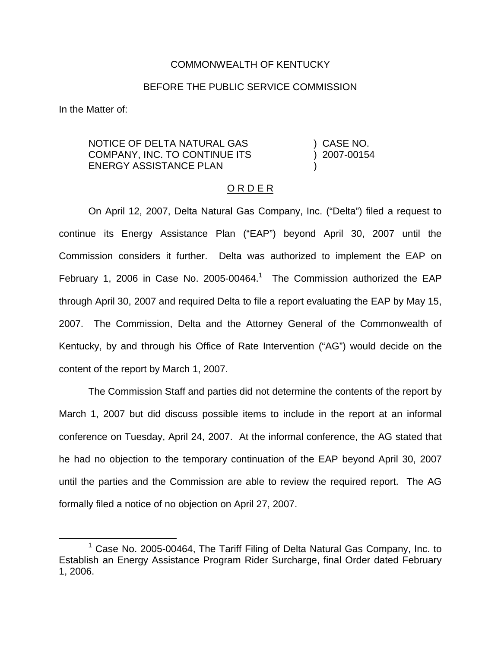## COMMONWEALTH OF KENTUCKY

## BEFORE THE PUBLIC SERVICE COMMISSION

In the Matter of:

NOTICE OF DELTA NATURAL GAS COMPANY, INC. TO CONTINUE ITS ENERGY ASSISTANCE PLAN ) CASE NO. ) 2007-00154 )

## O R D E R

On April 12, 2007, Delta Natural Gas Company, Inc. ("Delta") filed a request to continue its Energy Assistance Plan ("EAP") beyond April 30, 2007 until the Commission considers it further. Delta was authorized to implement the EAP on February 1, 2006 in Case No. 2005-00464.<sup>1</sup> The Commission authorized the EAP through April 30, 2007 and required Delta to file a report evaluating the EAP by May 15, 2007. The Commission, Delta and the Attorney General of the Commonwealth of Kentucky, by and through his Office of Rate Intervention ("AG") would decide on the content of the report by March 1, 2007.

The Commission Staff and parties did not determine the contents of the report by March 1, 2007 but did discuss possible items to include in the report at an informal conference on Tuesday, April 24, 2007. At the informal conference, the AG stated that he had no objection to the temporary continuation of the EAP beyond April 30, 2007 until the parties and the Commission are able to review the required report. The AG formally filed a notice of no objection on April 27, 2007.

 $1$  Case No. 2005-00464, The Tariff Filing of Delta Natural Gas Company, Inc. to Establish an Energy Assistance Program Rider Surcharge, final Order dated February 1, 2006.